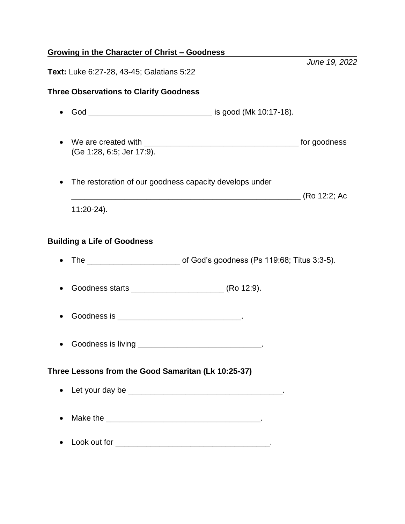| <u><b>Growing in the Character of Christ - Goodness</b></u> |                                                         |  |               |
|-------------------------------------------------------------|---------------------------------------------------------|--|---------------|
|                                                             | Text: Luke 6:27-28, 43-45; Galatians 5:22               |  | June 19, 2022 |
|                                                             | <b>Three Observations to Clarify Goodness</b>           |  |               |
|                                                             |                                                         |  |               |
|                                                             | (Ge 1:28, 6:5; Jer 17:9).                               |  |               |
|                                                             | The restoration of our goodness capacity develops under |  |               |
|                                                             | 11:20-24).                                              |  |               |
|                                                             | <b>Building a Life of Goodness</b>                      |  |               |
|                                                             |                                                         |  |               |
|                                                             |                                                         |  |               |
|                                                             |                                                         |  |               |
|                                                             | • Goodness is living _________________________________. |  |               |
|                                                             | Three Lessons from the Good Samaritan (Lk 10:25-37)     |  |               |
|                                                             |                                                         |  |               |
| $\bullet$                                                   |                                                         |  |               |
|                                                             |                                                         |  |               |